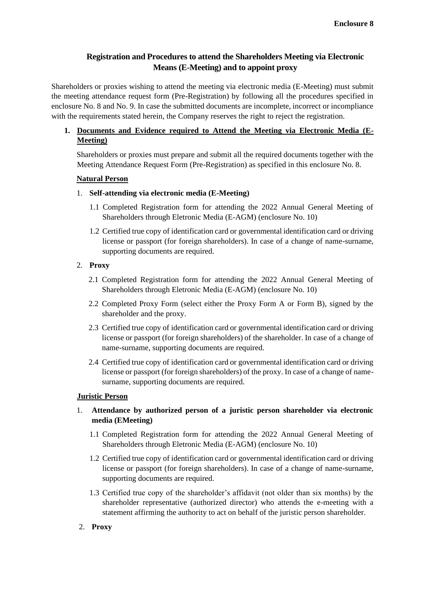# **Registration and Procedures to attend the Shareholders Meeting via Electronic Means (E-Meeting) and to appoint proxy**

Shareholders or proxies wishing to attend the meeting via electronic media (E-Meeting) must submit the meeting attendance request form (Pre-Registration) by following all the procedures specified in enclosure No. 8 and No. 9. In case the submitted documents are incomplete, incorrect or incompliance with the requirements stated herein, the Company reserves the right to reject the registration.

# **1. Documents and Evidence required to Attend the Meeting via Electronic Media (E-Meeting)**

Shareholders or proxies must prepare and submit all the required documents together with the Meeting Attendance Request Form (Pre-Registration) as specified in this enclosure No. 8.

# **Natural Person**

# 1. **Self-attending via electronic media (E-Meeting)**

- 1.1 Completed Registration form for attending the 2022 Annual General Meeting of Shareholders through Eletronic Media (E-AGM) (enclosure No. 10)
- 1.2 Certified true copy of identification card or governmental identification card or driving license or passport (for foreign shareholders). In case of a change of name-surname, supporting documents are required.

# 2. **Proxy**

- 2.1 Completed Registration form for attending the 2022 Annual General Meeting of Shareholders through Eletronic Media (E-AGM) (enclosure No. 10)
- 2.2 Completed Proxy Form (select either the Proxy Form A or Form B), signed by the shareholder and the proxy.
- 2.3 Certified true copy of identification card or governmental identification card or driving license or passport (for foreign shareholders) of the shareholder. In case of a change of name-surname, supporting documents are required.
- 2.4 Certified true copy of identification card or governmental identification card or driving license or passport (for foreign shareholders) of the proxy. In case of a change of namesurname, supporting documents are required.

# **Juristic Person**

# 1. **Attendance by authorized person of a juristic person shareholder via electronic media (EMeeting)**

- 1.1 Completed Registration form for attending the 2022 Annual General Meeting of Shareholders through Eletronic Media (E-AGM) (enclosure No. 10)
- 1.2 Certified true copy of identification card or governmental identification card or driving license or passport (for foreign shareholders). In case of a change of name-surname, supporting documents are required.
- 1.3 Certified true copy of the shareholder's affidavit (not older than six months) by the shareholder representative (authorized director) who attends the e-meeting with a statement affirming the authority to act on behalf of the juristic person shareholder.
- 2. **Proxy**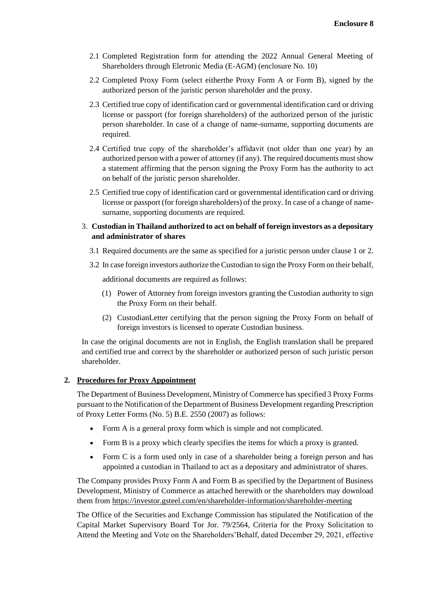- 2.1 Completed Registration form for attending the 2022 Annual General Meeting of Shareholders through Eletronic Media (E-AGM) (enclosure No. 10)
- 2.2 Completed Proxy Form (select eitherthe Proxy Form A or Form B), signed by the authorized person of the juristic person shareholder and the proxy.
- 2.3 Certified true copy of identification card or governmental identification card or driving license or passport (for foreign shareholders) of the authorized person of the juristic person shareholder. In case of a change of name-surname, supporting documents are required.
- 2.4 Certified true copy of the shareholder's affidavit (not older than one year) by an authorized person with a power of attorney (if any). The required documents must show a statement affirming that the person signing the Proxy Form has the authority to act on behalf of the juristic person shareholder.
- 2.5 Certified true copy of identification card or governmental identification card or driving license or passport (for foreign shareholders) of the proxy. In case of a change of namesurname, supporting documents are required.
- 3. **Custodian in Thailand authorized to act on behalf of foreign investors as a depositary and administrator of shares**
	- 3.1 Required documents are the same as specified for a juristic person under clause 1 or 2.
	- 3.2 In case foreign investors authorize the Custodian to sign the Proxy Form on their behalf,

additional documents are required as follows:

- (1) Power of Attorney from foreign investors granting the Custodian authority to sign the Proxy Form on their behalf.
- (2) CustodianLetter certifying that the person signing the Proxy Form on behalf of foreign investors is licensed to operate Custodian business.

In case the original documents are not in English, the English translation shall be prepared and certified true and correct by the shareholder or authorized person of such juristic person shareholder.

# **2. Procedures for Proxy Appointment**

The Department of Business Development, Ministry of Commerce has specified 3 Proxy Forms pursuant to the Notification of the Department of Business Development regarding Prescription of Proxy Letter Forms (No. 5) B.E. 2550 (2007) as follows:

- Form A is a general proxy form which is simple and not complicated.
- Form B is a proxy which clearly specifies the items for which a proxy is granted.
- Form C is a form used only in case of a shareholder being a foreign person and has appointed a custodian in Thailand to act as a depositary and administrator of shares.

The Company provides Proxy Form A and Form B as specified by the Department of Business Development, Ministry of Commerce as attached herewith or the shareholders may download them from <https://investor.gsteel.com/en/shareholder-information/shareholder-meeting>

The Office of the Securities and Exchange Commission has stipulated the Notification of the Capital Market Supervisory Board Tor Jor. 79/2564, Criteria for the Proxy Solicitation to Attend the Meeting and Vote on the Shareholders'Behalf, dated December 29, 2021, effective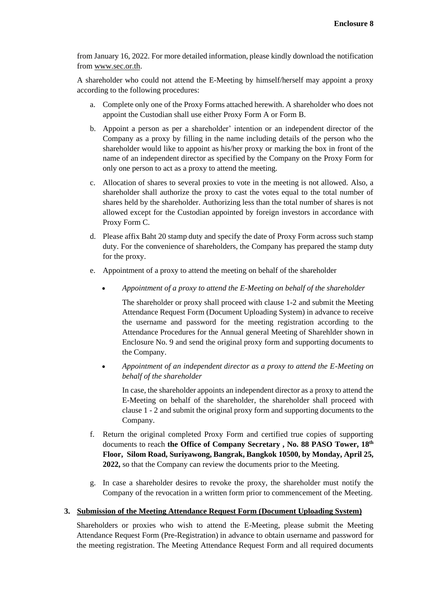from January 16, 2022. For more detailed information, please kindly download the notification from [www.sec.or.th.](http://www.sec.or.th/)

A shareholder who could not attend the E-Meeting by himself/herself may appoint a proxy according to the following procedures:

- a. Complete only one of the Proxy Forms attached herewith. A shareholder who does not appoint the Custodian shall use either Proxy Form A or Form B.
- b. Appoint a person as per a shareholder' intention or an independent director of the Company as a proxy by filling in the name including details of the person who the shareholder would like to appoint as his/her proxy or marking the box in front of the name of an independent director as specified by the Company on the Proxy Form for only one person to act as a proxy to attend the meeting.
- c. Allocation of shares to several proxies to vote in the meeting is not allowed. Also, a shareholder shall authorize the proxy to cast the votes equal to the total number of shares held by the shareholder. Authorizing less than the total number of shares is not allowed except for the Custodian appointed by foreign investors in accordance with Proxy Form C.
- d. Please affix Baht 20 stamp duty and specify the date of Proxy Form across such stamp duty. For the convenience of shareholders, the Company has prepared the stamp duty for the proxy.
- e. Appointment of a proxy to attend the meeting on behalf of the shareholder
	- *Appointment of a proxy to attend the E-Meeting on behalf of the shareholder*

The shareholder or proxy shall proceed with clause 1-2 and submit the Meeting Attendance Request Form (Document Uploading System) in advance to receive the username and password for the meeting registration according to the Attendance Procedures for the Annual general Meeting of Sharehlder shown in Enclosure No. 9 and send the original proxy form and supporting documents to the Company.

• *Appointment of an independent director as a proxy to attend the E-Meeting on behalf of the shareholder*

In case, the shareholder appoints an independent director as a proxy to attend the E-Meeting on behalf of the shareholder, the shareholder shall proceed with clause 1 - 2 and submit the original proxy form and supporting documents to the Company.

- f. Return the original completed Proxy Form and certified true copies of supporting documents to reach **the Office of Company Secretary , No. 88 PASO Tower, 18th Floor, Silom Road, Suriyawong, Bangrak, Bangkok 10500, by Monday, April 25, 2022,** so that the Company can review the documents prior to the Meeting.
- g. In case a shareholder desires to revoke the proxy, the shareholder must notify the Company of the revocation in a written form prior to commencement of the Meeting.

# **3. Submission of the Meeting Attendance Request Form (Document Uploading System)**

Shareholders or proxies who wish to attend the E-Meeting, please submit the Meeting Attendance Request Form (Pre-Registration) in advance to obtain username and password for the meeting registration. The Meeting Attendance Request Form and all required documents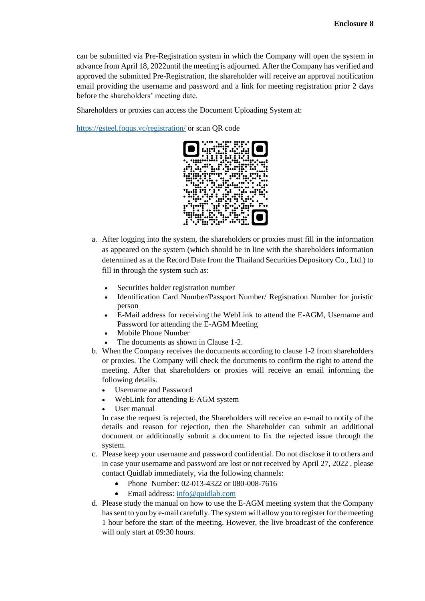can be submitted via Pre-Registration system in which the Company will open the system in advance from April 18, 2022until the meeting is adjourned. After the Company has verified and approved the submitted Pre-Registration, the shareholder will receive an approval notification email providing the username and password and a link for meeting registration prior 2 days before the shareholders' meeting date.

Shareholders or proxies can access the Document Uploading System at:

<https://gsteel.foqus.vc/registration/> or scan QR code



- a. After logging into the system, the shareholders or proxies must fill in the information as appeared on the system (which should be in line with the shareholders information determined as at the Record Date from the Thailand Securities Depository Co., Ltd.) to fill in through the system such as:
	- Securities holder registration number
	- Identification Card Number/Passport Number/ Registration Number for juristic person
	- E-Mail address for receiving the WebLink to attend the E-AGM, Username and Password for attending the E-AGM Meeting
	- Mobile Phone Number
	- The documents as shown in Clause 1-2.
- b. When the Company receives the documents according to clause 1-2 from shareholders or proxies. The Company will check the documents to confirm the right to attend the meeting. After that shareholders or proxies will receive an email informing the following details.
	- Username and Password
	- WebLink for attending E-AGM system
	- User manual

In case the request is rejected, the Shareholders will receive an e-mail to notify of the details and reason for rejection, then the Shareholder can submit an additional document or additionally submit a document to fix the rejected issue through the system.

- c. Please keep your username and password confidential. Do not disclose it to others and in case your username and password are lost or not received by April 27, 2022 , please contact Quidlab immediately, via the following channels:
	- Phone Number: 02-013-4322 or 080-008-7616
	- Email address[: info@quidlab.com](mailto:info@quidlab.com)
- d. Please study the manual on how to use the E-AGM meeting system that the Company has sent to you by e-mail carefully. The system will allow you to register for the meeting 1 hour before the start of the meeting. However, the live broadcast of the conference will only start at 09:30 hours.